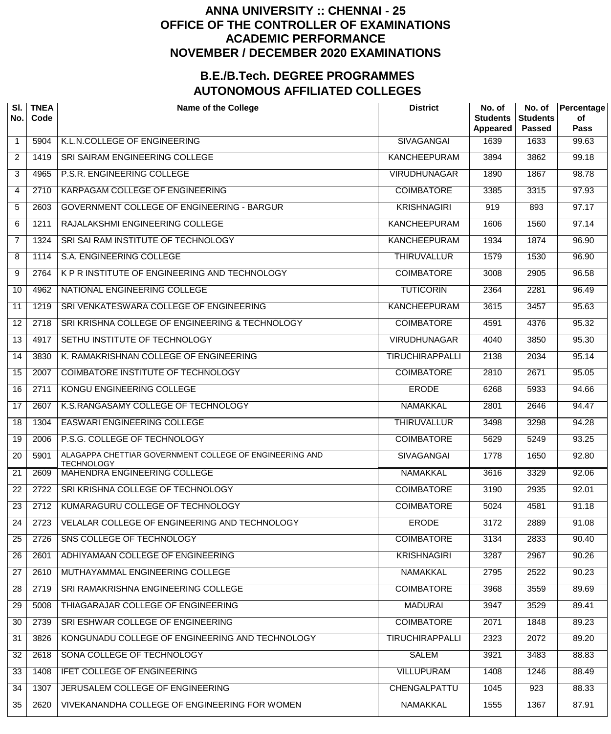## **ANNA UNIVERSITY :: CHENNAI - 25 OFFICE OF THE CONTROLLER OF EXAMINATIONS ACADEMIC PERFORMANCE NOVEMBER / DECEMBER 2020 EXAMINATIONS**

## **B.E./B.Tech. DEGREE PROGRAMMES AUTONOMOUS AFFILIATED COLLEGES**

| SI.<br>No.      | <b>TNEA</b><br>Code | <b>Name of the College</b>                                                   | <b>District</b>        | No. of<br><b>Students</b><br>Appeared | No. of<br><b>Students</b><br><b>Passed</b> | Percentage<br>of<br><b>Pass</b> |
|-----------------|---------------------|------------------------------------------------------------------------------|------------------------|---------------------------------------|--------------------------------------------|---------------------------------|
| $\mathbf{1}$    | 5904                | K.L.N.COLLEGE OF ENGINEERING                                                 | <b>SIVAGANGAI</b>      | 1639                                  | 1633                                       | 99.63                           |
| $\overline{2}$  | 1419                | SRI SAIRAM ENGINEERING COLLEGE                                               | <b>KANCHEEPURAM</b>    | 3894                                  | 3862                                       | 99.18                           |
| 3               | 4965                | P.S.R. ENGINEERING COLLEGE                                                   | <b>VIRUDHUNAGAR</b>    | 1890                                  | 1867                                       | 98.78                           |
| 4               | 2710                | KARPAGAM COLLEGE OF ENGINEERING                                              | <b>COIMBATORE</b>      | 3385                                  | 3315                                       | 97.93                           |
| 5               | 2603                | <b>GOVERNMENT COLLEGE OF ENGINEERING - BARGUR</b>                            | <b>KRISHNAGIRI</b>     | 919                                   | 893                                        | 97.17                           |
| 6               | 1211                | RAJALAKSHMI ENGINEERING COLLEGE                                              | <b>KANCHEEPURAM</b>    | 1606                                  | 1560                                       | 97.14                           |
| $\overline{7}$  | 1324                | SRI SAI RAM INSTITUTE OF TECHNOLOGY                                          | <b>KANCHEEPURAM</b>    | 1934                                  | 1874                                       | 96.90                           |
| 8               | 1114                | S.A. ENGINEERING COLLEGE                                                     | <b>THIRUVALLUR</b>     | 1579                                  | 1530                                       | 96.90                           |
| 9               | 2764                | K P R INSTITUTE OF ENGINEERING AND TECHNOLOGY                                | <b>COIMBATORE</b>      | 3008                                  | 2905                                       | 96.58                           |
| 10              | 4962                | NATIONAL ENGINEERING COLLEGE                                                 | <b>TUTICORIN</b>       | 2364                                  | 2281                                       | 96.49                           |
| 11              | 1219                | SRI VENKATESWARA COLLEGE OF ENGINEERING                                      | <b>KANCHEEPURAM</b>    | 3615                                  | 3457                                       | 95.63                           |
| 12              | 2718                | SRI KRISHNA COLLEGE OF ENGINEERING & TECHNOLOGY                              | <b>COIMBATORE</b>      | 4591                                  | 4376                                       | 95.32                           |
| 13              | 4917                | SETHU INSTITUTE OF TECHNOLOGY                                                | <b>VIRUDHUNAGAR</b>    | 4040                                  | 3850                                       | 95.30                           |
| 14              | 3830                | K. RAMAKRISHNAN COLLEGE OF ENGINEERING                                       | <b>TIRUCHIRAPPALLI</b> | 2138                                  | 2034                                       | 95.14                           |
| $\overline{15}$ | 2007                | COIMBATORE INSTITUTE OF TECHNOLOGY                                           | <b>COIMBATORE</b>      | 2810                                  | 2671                                       | 95.05                           |
| 16              | 2711                | <b>KONGU ENGINEERING COLLEGE</b>                                             | <b>ERODE</b>           | 6268                                  | 5933                                       | 94.66                           |
| 17              | 2607                | K.S.RANGASAMY COLLEGE OF TECHNOLOGY                                          | <b>NAMAKKAL</b>        | 2801                                  | 2646                                       | 94.47                           |
| $\overline{18}$ | 1304                | <b>EASWARI ENGINEERING COLLEGE</b>                                           | <b>THIRUVALLUR</b>     | 3498                                  | 3298                                       | 94.28                           |
| 19              | 2006                | P.S.G. COLLEGE OF TECHNOLOGY                                                 | <b>COIMBATORE</b>      | 5629                                  | 5249                                       | 93.25                           |
| 20              | 5901                | ALAGAPPA CHETTIAR GOVERNMENT COLLEGE OF ENGINEERING AND<br><b>TECHNOLOGY</b> | <b>SIVAGANGAI</b>      | 1778                                  | 1650                                       | 92.80                           |
| 21              | 2609                | <b>MAHENDRA ENGINEERING COLLEGE</b>                                          | <b>NAMAKKAL</b>        | 3616                                  | 3329                                       | 92.06                           |
| 22              | 2722                | SRI KRISHNA COLLEGE OF TECHNOLOGY                                            | <b>COIMBATORE</b>      | 3190                                  | 2935                                       | 92.01                           |
| 23              | 2712                | KUMARAGURU COLLEGE OF TECHNOLOGY                                             | <b>COIMBATORE</b>      | 5024                                  | 4581                                       | 91.18                           |
| 24              | 2723                | VELALAR COLLEGE OF ENGINEERING AND TECHNOLOGY                                | <b>ERODE</b>           | 3172                                  | 2889                                       | 91.08                           |
| 25              | 2726                | SNS COLLEGE OF TECHNOLOGY                                                    | <b>COIMBATORE</b>      | 3134                                  | 2833                                       | 90.40                           |
| 26              | 2601                | ADHIYAMAAN COLLEGE OF ENGINEERING                                            | <b>KRISHNAGIRI</b>     | 3287                                  | 2967                                       | 90.26                           |
| 27              | 2610                | MUTHAYAMMAL ENGINEERING COLLEGE                                              | NAMAKKAL               | 2795                                  | 2522                                       | 90.23                           |
| 28              | 2719                | SRI RAMAKRISHNA ENGINEERING COLLEGE                                          | <b>COIMBATORE</b>      | 3968                                  | 3559                                       | 89.69                           |
| 29              | 5008                | THIAGARAJAR COLLEGE OF ENGINEERING                                           | <b>MADURAI</b>         | 3947                                  | 3529                                       | 89.41                           |
| 30              | 2739                | SRI ESHWAR COLLEGE OF ENGINEERING                                            | <b>COIMBATORE</b>      | 2071                                  | 1848                                       | 89.23                           |
| 31              | 3826                | KONGUNADU COLLEGE OF ENGINEERING AND TECHNOLOGY                              | <b>TIRUCHIRAPPALLI</b> | 2323                                  | 2072                                       | 89.20                           |
| 32              | 2618                | SONA COLLEGE OF TECHNOLOGY                                                   | <b>SALEM</b>           | 3921                                  | 3483                                       | 88.83                           |
| 33              | 1408                | <b>IFET COLLEGE OF ENGINEERING</b>                                           | <b>VILLUPURAM</b>      | 1408                                  | 1246                                       | 88.49                           |
| 34              | 1307                | JERUSALEM COLLEGE OF ENGINEERING                                             | CHENGALPATTU           | 1045                                  | 923                                        | 88.33                           |
| 35              | 2620                | VIVEKANANDHA COLLEGE OF ENGINEERING FOR WOMEN                                | NAMAKKAL               | 1555                                  | 1367                                       | 87.91                           |